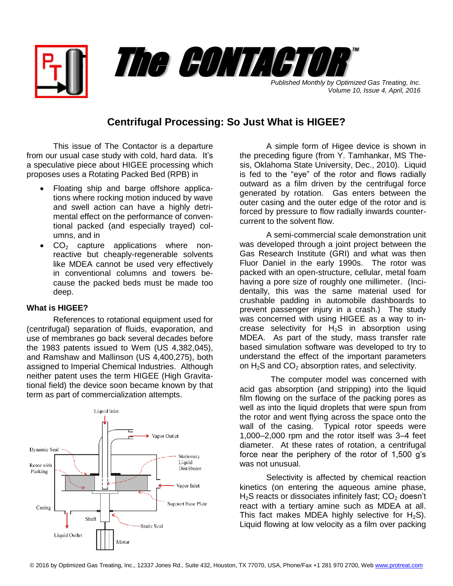

*Volume 10, Issue 4, April, 2016*

## **Centrifugal Processing: So Just What is HIGEE?**

This issue of The Contactor is a departure from our usual case study with cold, hard data. It's a speculative piece about HIGEE processing which proposes uses a Rotating Packed Bed (RPB) in

- Floating ship and barge offshore applications where rocking motion induced by wave and swell action can have a highly detrimental effect on the performance of conventional packed (and especially trayed) columns, and in
- $\bullet$  CO<sub>2</sub> capture applications where nonreactive but cheaply-regenerable solvents like MDEA cannot be used very effectively in conventional columns and towers because the packed beds must be made too deep.

## **What is HIGEE?**

References to rotational equipment used for (centrifugal) separation of fluids, evaporation, and use of membranes go back several decades before the 1983 patents issued to Wem (US 4,382,045), and Ramshaw and Mallinson (US 4,400,275), both assigned to Imperial Chemical Industries. Although neither patent uses the term HIGEE (High Gravitational field) the device soon became known by that term as part of commercialization attempts.



A simple form of Higee device is shown in the preceding figure (from Y. Tamhankar, MS Thesis, Oklahoma State University, Dec., 2010). Liquid is fed to the "eye" of the rotor and flows radially outward as a film driven by the centrifugal force generated by rotation. Gas enters between the outer casing and the outer edge of the rotor and is forced by pressure to flow radially inwards countercurrent to the solvent flow.

A semi-commercial scale demonstration unit was developed through a joint project between the Gas Research Institute (GRI) and what was then Fluor Daniel in the early 1990s. The rotor was packed with an open-structure, cellular, metal foam having a pore size of roughly one millimeter. (Incidentally, this was the same material used for crushable padding in automobile dashboards to prevent passenger injury in a crash.) The study was concerned with using HIGEE as a way to increase selectivity for  $H_2S$  in absorption using MDEA. As part of the study, mass transfer rate based simulation software was developed to try to understand the effect of the important parameters on  $H_2S$  and  $CO_2$  absorption rates, and selectivity.

 The computer model was concerned with acid gas absorption (and stripping) into the liquid film flowing on the surface of the packing pores as well as into the liquid droplets that were spun from the rotor and went flying across the space onto the wall of the casing. Typical rotor speeds were 1,000–2,000 rpm and the rotor itself was 3–4 feet diameter. At these rates of rotation, a centrifugal force near the periphery of the rotor of 1,500 g's was not unusual.

Selectivity is affected by chemical reaction kinetics (on entering the aqueous amine phase,  $H<sub>2</sub>S$  reacts or dissociates infinitely fast;  $CO<sub>2</sub>$  doesn't react with a tertiary amine such as MDEA at all. This fact makes MDEA highly selective for  $H_2S$ ). Liquid flowing at low velocity as a film over packing